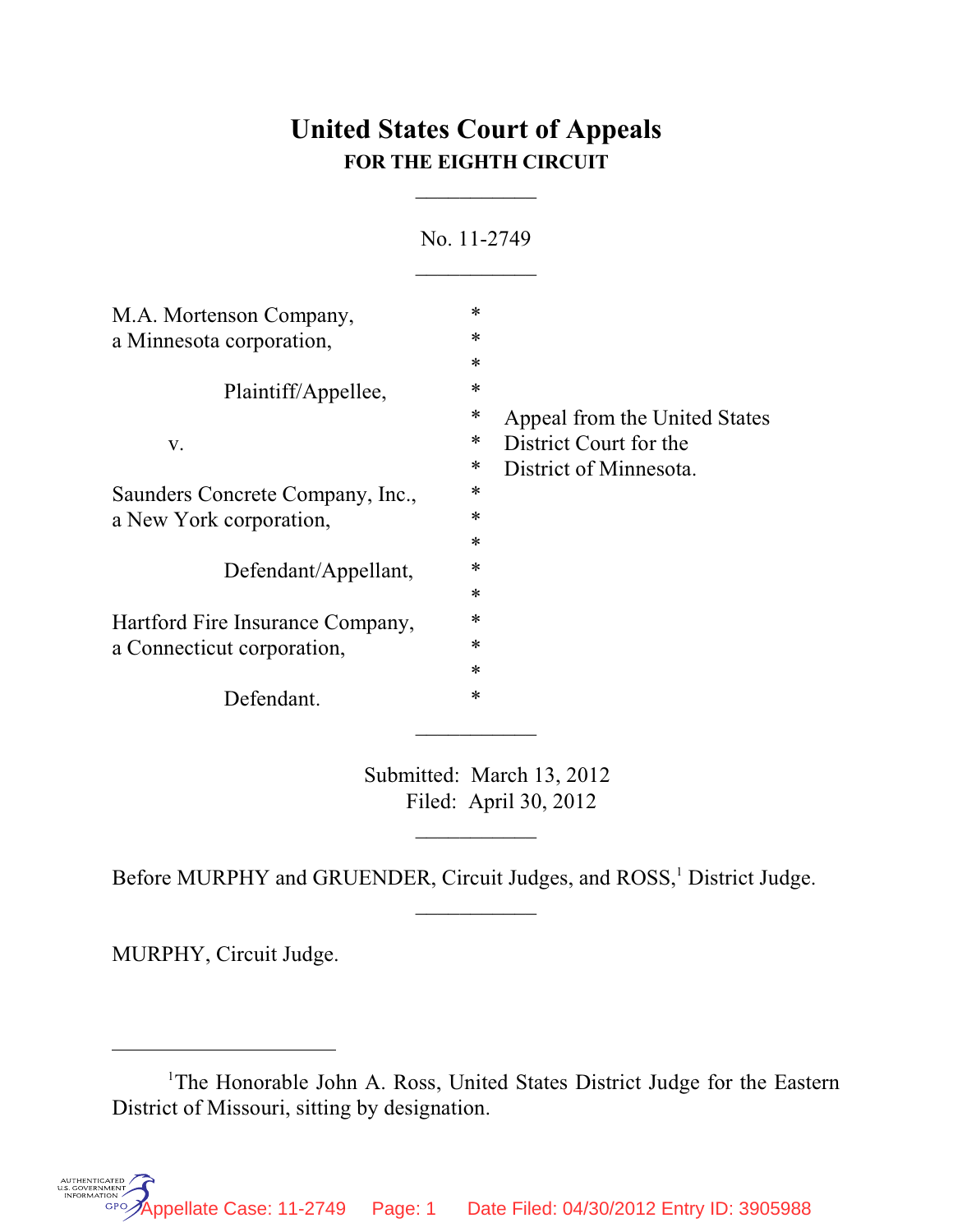## **United States Court of Appeals FOR THE EIGHTH CIRCUIT**

 $\overline{\phantom{a}}$ 

| No. 11-2749                           |
|---------------------------------------|
| ∗                                     |
| $\ast$                                |
| $\ast$                                |
| *                                     |
| ∗<br>Appeal from the United States    |
| District Court for the<br>∗           |
| District of Minnesota.<br>∗           |
| ∗<br>Saunders Concrete Company, Inc., |
| ∗                                     |
| $\ast$                                |
| $\ast$<br>Defendant/Appellant,        |
| $\ast$                                |
| ∗<br>Hartford Fire Insurance Company, |
| ∗                                     |
| $\ast$                                |
| $\ast$                                |
|                                       |

Submitted: March 13, 2012 Filed: April 30, 2012

 $\overline{\phantom{a}}$ 

 $\frac{1}{2}$ 

Before MURPHY and GRUENDER, Circuit Judges, and ROSS,<sup>1</sup> District Judge.

MURPHY, Circuit Judge.

<sup>&</sup>lt;sup>1</sup>The Honorable John A. Ross, United States District Judge for the Eastern District of Missouri, sitting by designation.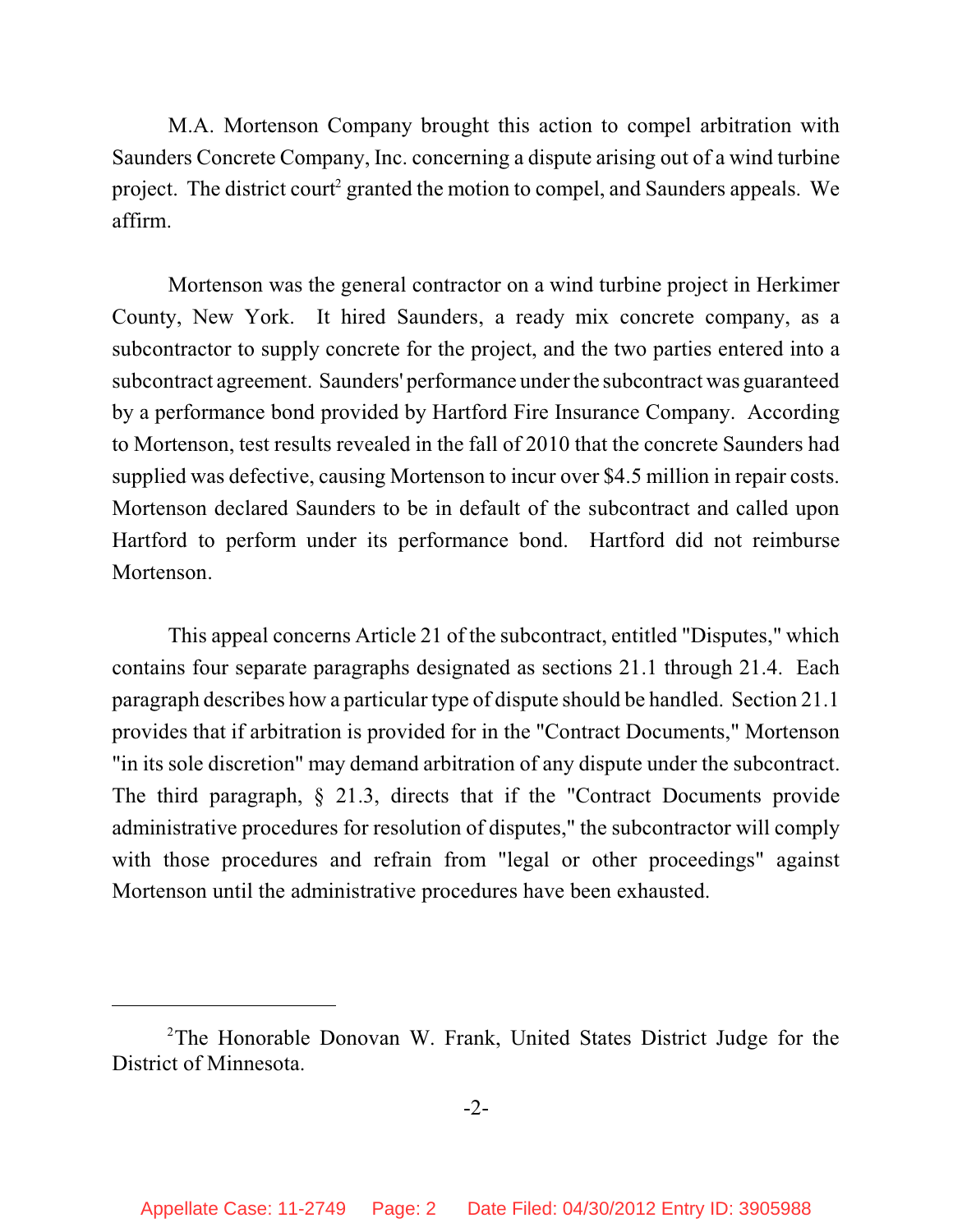M.A. Mortenson Company brought this action to compel arbitration with Saunders Concrete Company, Inc. concerning a dispute arising out of a wind turbine project. The district court<sup>2</sup> granted the motion to compel, and Saunders appeals. We affirm.

Mortenson was the general contractor on a wind turbine project in Herkimer County, New York. It hired Saunders, a ready mix concrete company, as a subcontractor to supply concrete for the project, and the two parties entered into a subcontract agreement. Saunders' performance under the subcontract was guaranteed by a performance bond provided by Hartford Fire Insurance Company. According to Mortenson, test results revealed in the fall of 2010 that the concrete Saunders had supplied was defective, causing Mortenson to incur over \$4.5 million in repair costs. Mortenson declared Saunders to be in default of the subcontract and called upon Hartford to perform under its performance bond. Hartford did not reimburse Mortenson.

This appeal concerns Article 21 of the subcontract, entitled "Disputes," which contains four separate paragraphs designated as sections 21.1 through 21.4. Each paragraph describes how a particular type of dispute should be handled. Section 21.1 provides that if arbitration is provided for in the "Contract Documents," Mortenson "in its sole discretion" may demand arbitration of any dispute under the subcontract. The third paragraph, § 21.3, directs that if the "Contract Documents provide administrative procedures for resolution of disputes," the subcontractor will comply with those procedures and refrain from "legal or other proceedings" against Mortenson until the administrative procedures have been exhausted.

 $2$ The Honorable Donovan W. Frank, United States District Judge for the District of Minnesota.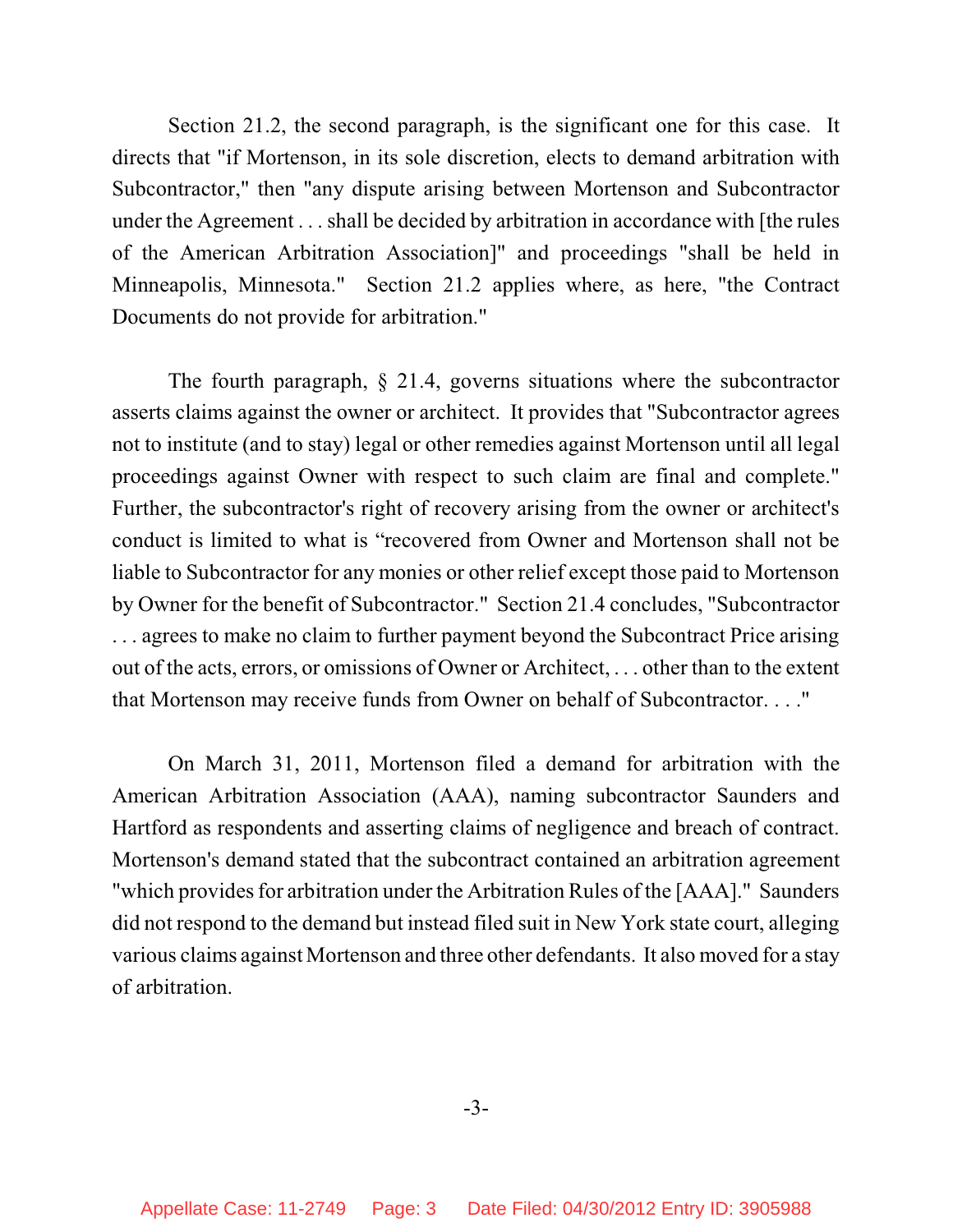Section 21.2, the second paragraph, is the significant one for this case. It directs that "if Mortenson, in its sole discretion, elects to demand arbitration with Subcontractor," then "any dispute arising between Mortenson and Subcontractor under the Agreement . . . shall be decided by arbitration in accordance with [the rules of the American Arbitration Association]" and proceedings "shall be held in Minneapolis, Minnesota." Section 21.2 applies where, as here, "the Contract Documents do not provide for arbitration."

The fourth paragraph, § 21.4, governs situations where the subcontractor asserts claims against the owner or architect. It provides that "Subcontractor agrees not to institute (and to stay) legal or other remedies against Mortenson until all legal proceedings against Owner with respect to such claim are final and complete." Further, the subcontractor's right of recovery arising from the owner or architect's conduct is limited to what is "recovered from Owner and Mortenson shall not be liable to Subcontractor for any monies or other relief except those paid to Mortenson by Owner for the benefit of Subcontractor." Section 21.4 concludes, "Subcontractor . . . agrees to make no claim to further payment beyond the Subcontract Price arising out of the acts, errors, or omissions of Owner or Architect, . . . other than to the extent that Mortenson may receive funds from Owner on behalf of Subcontractor. . . ."

On March 31, 2011, Mortenson filed a demand for arbitration with the American Arbitration Association (AAA), naming subcontractor Saunders and Hartford as respondents and asserting claims of negligence and breach of contract. Mortenson's demand stated that the subcontract contained an arbitration agreement "which provides for arbitration under the Arbitration Rules of the [AAA]." Saunders did not respond to the demand but instead filed suit in New York state court, alleging various claims against Mortenson and three other defendants. It also moved for a stay of arbitration.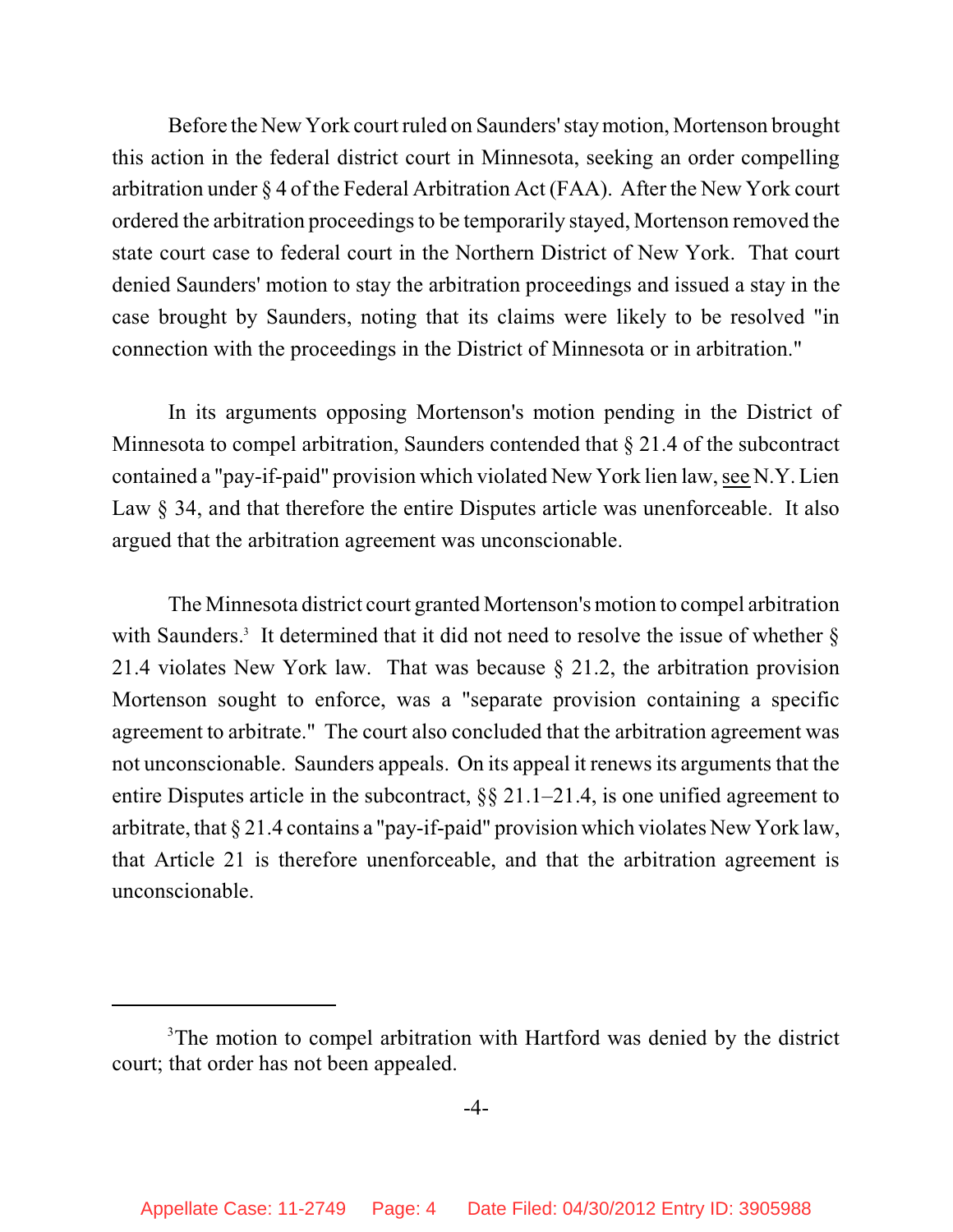Before the New York court ruled on Saunders' staymotion, Mortenson brought this action in the federal district court in Minnesota, seeking an order compelling arbitration under § 4 of the Federal Arbitration Act (FAA). After the New York court ordered the arbitration proceedings to be temporarily stayed, Mortenson removed the state court case to federal court in the Northern District of New York. That court denied Saunders' motion to stay the arbitration proceedings and issued a stay in the case brought by Saunders, noting that its claims were likely to be resolved "in connection with the proceedings in the District of Minnesota or in arbitration."

In its arguments opposing Mortenson's motion pending in the District of Minnesota to compel arbitration, Saunders contended that § 21.4 of the subcontract contained a "pay-if-paid" provision which violated New York lien law, see N.Y. Lien Law § 34, and that therefore the entire Disputes article was unenforceable. It also argued that the arbitration agreement was unconscionable.

The Minnesota district court granted Mortenson's motion to compel arbitration with Saunders.<sup>3</sup> It determined that it did not need to resolve the issue of whether  $\S$ 21.4 violates New York law. That was because § 21.2, the arbitration provision Mortenson sought to enforce, was a "separate provision containing a specific agreement to arbitrate." The court also concluded that the arbitration agreement was not unconscionable. Saunders appeals. On its appeal it renews its arguments that the entire Disputes article in the subcontract, §§ 21.1–21.4, is one unified agreement to arbitrate, that § 21.4 contains a "pay-if-paid" provision which violates New York law, that Article 21 is therefore unenforceable, and that the arbitration agreement is unconscionable.

<sup>&</sup>lt;sup>3</sup>The motion to compel arbitration with Hartford was denied by the district court; that order has not been appealed.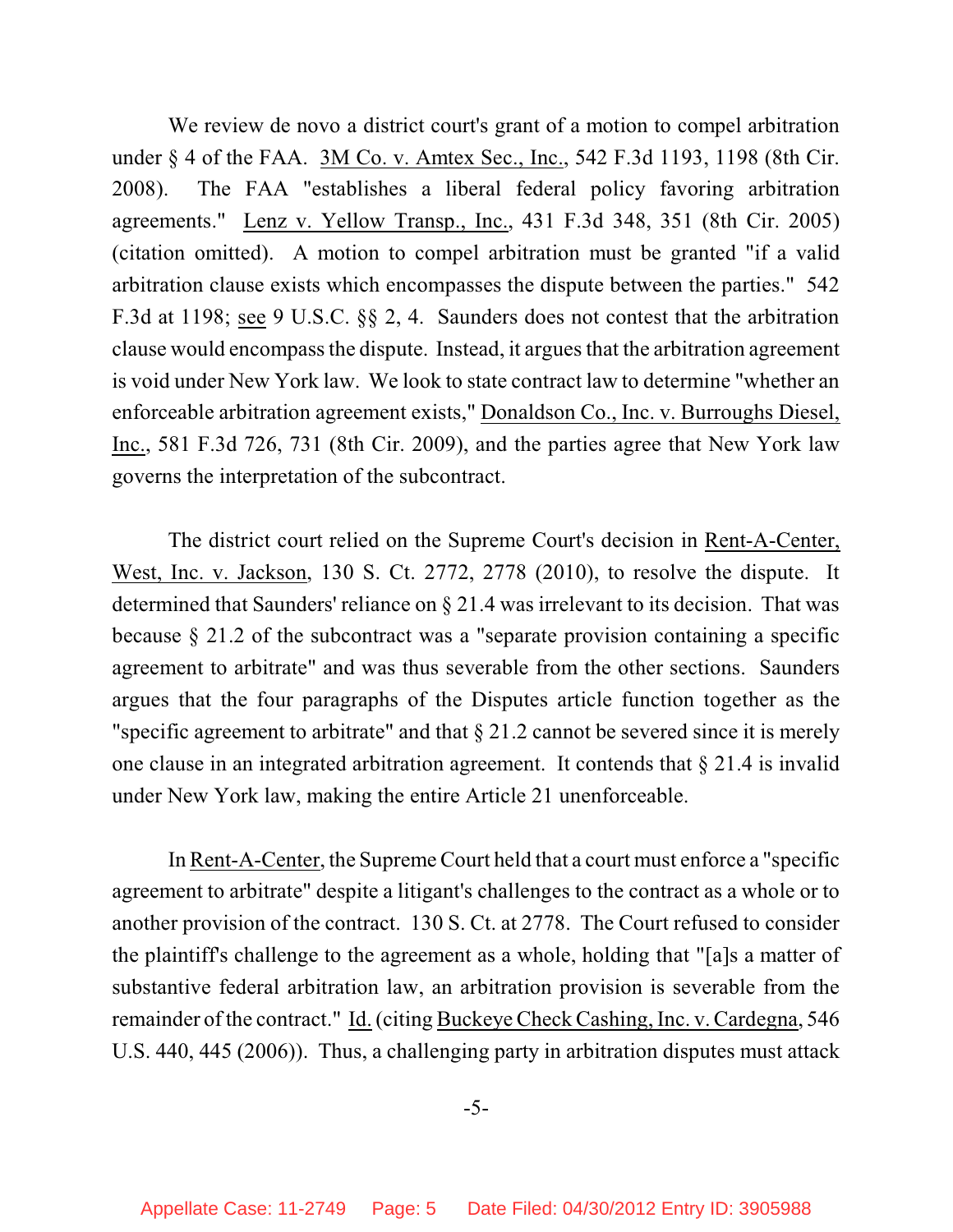We review de novo a district court's grant of a motion to compel arbitration under § 4 of the FAA. 3M Co. v. Amtex Sec., Inc., 542 F.3d 1193, 1198 (8th Cir. 2008). The FAA "establishes a liberal federal policy favoring arbitration agreements." Lenz v. Yellow Transp., Inc., 431 F.3d 348, 351 (8th Cir. 2005) (citation omitted). A motion to compel arbitration must be granted "if a valid arbitration clause exists which encompasses the dispute between the parties." 542 F.3d at 1198; see 9 U.S.C. §§ 2, 4. Saunders does not contest that the arbitration clause would encompassthe dispute. Instead, it argues that the arbitration agreement is void under New York law. We look to state contract law to determine "whether an enforceable arbitration agreement exists," Donaldson Co., Inc. v. Burroughs Diesel, Inc., 581 F.3d 726, 731 (8th Cir. 2009), and the parties agree that New York law governs the interpretation of the subcontract.

The district court relied on the Supreme Court's decision in Rent-A-Center, West, Inc. v. Jackson, 130 S. Ct. 2772, 2778 (2010), to resolve the dispute. It determined that Saunders' reliance on § 21.4 was irrelevant to its decision. That was because § 21.2 of the subcontract was a "separate provision containing a specific agreement to arbitrate" and was thus severable from the other sections. Saunders argues that the four paragraphs of the Disputes article function together as the "specific agreement to arbitrate" and that  $\S 21.2$  cannot be severed since it is merely one clause in an integrated arbitration agreement. It contends that § 21.4 is invalid under New York law, making the entire Article 21 unenforceable.

In Rent-A-Center, the Supreme Court held that a court must enforce a "specific agreement to arbitrate" despite a litigant's challenges to the contract as a whole or to another provision of the contract. 130 S. Ct. at 2778. The Court refused to consider the plaintiff's challenge to the agreement as a whole, holding that "[a]s a matter of substantive federal arbitration law, an arbitration provision is severable from the remainder of the contract." Id. (citing Buckeye Check Cashing, Inc. v. Cardegna, 546 U.S. 440, 445 (2006)). Thus, a challenging party in arbitration disputes must attack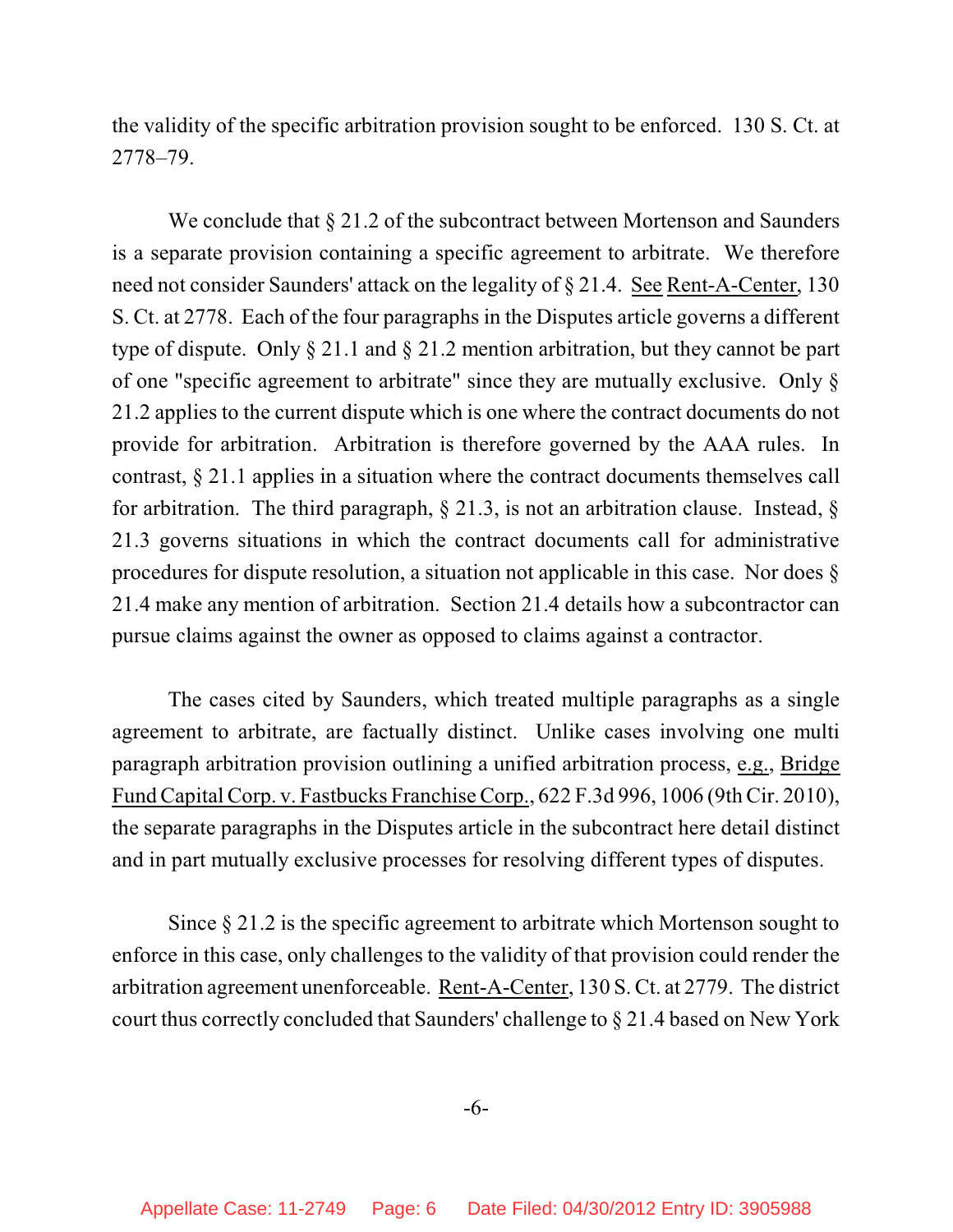the validity of the specific arbitration provision sought to be enforced. 130 S. Ct. at 2778–79.

We conclude that  $\S 21.2$  of the subcontract between Mortenson and Saunders is a separate provision containing a specific agreement to arbitrate. We therefore need not consider Saunders' attack on the legality of § 21.4. See Rent-A-Center, 130 S. Ct. at 2778. Each of the four paragraphs in the Disputes article governs a different type of dispute. Only § 21.1 and § 21.2 mention arbitration, but they cannot be part of one "specific agreement to arbitrate" since they are mutually exclusive. Only § 21.2 applies to the current dispute which is one where the contract documents do not provide for arbitration. Arbitration is therefore governed by the AAA rules. In contrast, § 21.1 applies in a situation where the contract documents themselves call for arbitration. The third paragraph,  $\S$  21.3, is not an arbitration clause. Instead,  $\S$ 21.3 governs situations in which the contract documents call for administrative procedures for dispute resolution, a situation not applicable in this case. Nor does § 21.4 make any mention of arbitration. Section 21.4 details how a subcontractor can pursue claims against the owner as opposed to claims against a contractor.

The cases cited by Saunders, which treated multiple paragraphs as a single agreement to arbitrate, are factually distinct. Unlike cases involving one multi paragraph arbitration provision outlining a unified arbitration process, e.g., Bridge Fund Capital Corp. v. Fastbucks Franchise Corp., 622 F.3d 996, 1006 (9th Cir. 2010), the separate paragraphs in the Disputes article in the subcontract here detail distinct and in part mutually exclusive processes for resolving different types of disputes.

Since § 21.2 is the specific agreement to arbitrate which Mortenson sought to enforce in this case, only challenges to the validity of that provision could render the arbitration agreement unenforceable. Rent-A-Center, 130 S. Ct. at 2779. The district court thus correctly concluded that Saunders' challenge to § 21.4 based on New York